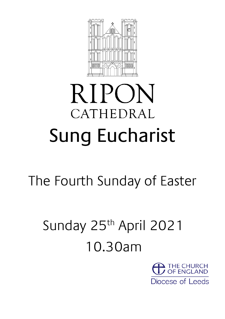

# **RIPON** CATHEDRAL Sung Eucharist

The Fourth Sunday of Easter

## Sunday 25<sup>th</sup> April 2021 10.30am

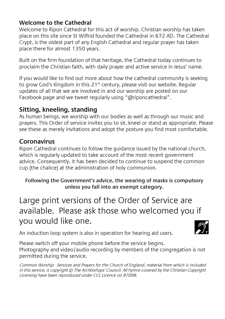## **Welcome to the Cathedral**

Welcome to Ripon Cathedral for this act of worship. Christian worship has taken place on this site since St Wilfrid founded the Cathedral in 672 AD. The Cathedral Crypt, is the oldest part of any English Cathedral and regular prayer has taken place there for almost 1350 years.

Built on the firm foundation of that heritage, the Cathedral today continues to proclaim the Christian faith, with daily prayer and active service in Jesus' name.

If you would like to find out more about how the cathedral community is seeking to grow God's Kingdom in this  $21<sup>st</sup>$  century, please visit our website. Regular updates of all that we are involved in and our worship are posted on our Facebook page and we tweet regularly using "@riponcathedral".

## **Sitting, kneeling, standing**

As human beings, we worship with our bodies as well as through our music and prayers. This Order of service invites you to sit, kneel or stand as appropriate. Please see these as merely invitations and adopt the posture you find most comfortable.

#### **Coronavirus**

Ripon Cathedral continues to follow the guidance issued by the national church, which is regularly updated to take account of the most recent government advice. Consequently, it has been decided to continue to suspend the common cup (the chalice) at the administration of holy communion.

#### **Following the Government's advice, the wearing of masks is compulsory unless you fall into an exempt category.**

Large print versions of the Order of Service are available. Please ask those who welcomed you if you would like one.

An induction loop system is also in operation for hearing aid users.

Please switch off your mobile phone before the service begins. Photography and video/audio recording by members of the congregation is not permitted during the service.

Common Worship: Services and Prayers for the Church of England, material from which is included in this service, is copyright © The Archbishops' Council. All hymns covered by the Christian Copyright Licensing have been reproduced under CCL Licence no 97098.

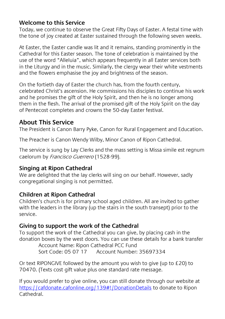## **Welcome to this Service**

Today, we continue to observe the Great Fifty Days of Easter. A festal time with the tone of joy created at Easter sustained through the following seven weeks.

At Easter, the Easter candle was lit and it remains, standing prominently in the Cathedral for this Easter season. The tone of celebration is maintained by the use of the word "Alleluia", which appears frequently in all Easter services both in the Liturgy and in the music. Similarly, the clergy wear their white vestments and the flowers emphasise the joy and brightness of the season.

On the fortieth day of Easter the church has, from the fourth century, celebrated Christ's ascension. He commissions his disciples to continue his work and he promises the gift of the Holy Spirit, and then he is no longer among them in the flesh. The arrival of the promised gift of the Holy Spirit on the day of Pentecost completes and crowns the 50-day Easter festival.

## **About This Service**

The President is Canon Barry Pyke, Canon for Rural Engagement and Education.

The Preacher is Canon Wendy Wilby, Minor Canon of Ripon Cathedral.

The service is sung by Lay Clerks and the mass setting is Missa simile est regnum caelorum by Francisco Guerrero (1528-99)*.*

#### **Singing at Ripon Cathedral**

We are delighted that the lay clerks will sing on our behalf. However, sadly congregational singing is not permitted.

#### **Children at Ripon Cathedral**

Children's church is for primary school aged children. All are invited to gather with the leaders in the library (up the stairs in the south transept) prior to the service.

#### **Giving to support the work of the Cathedral**

To support the work of the Cathedral you can give, by placing cash in the donation boxes by the west doors. You can use these details for a bank transfer

Account Name: Ripon Cathedral PCC Fund Sort Code: 05 07 17 Account Number: 35697334

Or text RIPONGIVE followed by the amount you wish to give (up to £20) to 70470. (Texts cost gift value plus one standard rate message.

If you would prefer to give online, you can still donate through our website at <https://cafdonate.cafonline.org/139#!/DonationDetails> to donate to Ripon Cathedral.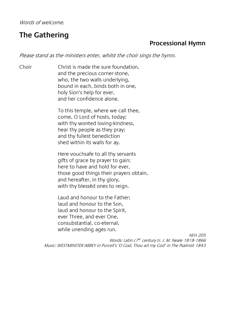Words of welcome.

## **The Gathering**

### **Processional Hymn**

Please stand as the ministers enter, whilst the choir sings the hymn.

Choir Christ is made the sure foundation, and the precious corner-stone, who, the two walls underlying, bound in each, binds both in one, holy Sion's help for ever, and her confidence alone.

> To this temple, where we call thee, come, O Lord of hosts, today; with thy wonted loving-kindness, hear thy people as they pray; and thy fullest benediction shed within its walls for ay.

Here vouchsafe to all thy servants gifts of grace by prayer to gain; here to have and hold for ever, those good things their prayers obtain, and hereafter, in thy glory, with thy blessèd ones to reign.

Laud and honour to the Father; laud and honour to the Son, laud and honour to the Spirit, ever Three, and ever One, consubstantial, co-eternal, while unending ages run.

NEH 205

Words: Latin c7<sup>th</sup> century tr. J. M. Neale 1818-1866 Music: WESTMINSTER ABBEY in Purcell's 'O God, Thou art my God' in The Psalmist 1843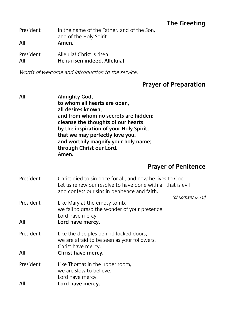## **The Greeting**

| President | In the name of the Father, and of the Son,<br>and of the Holy Spirit. |  |  |
|-----------|-----------------------------------------------------------------------|--|--|
| All       | Amen.                                                                 |  |  |
| President | Alleluia! Christ is risen.                                            |  |  |

**All He is risen indeed. Alleluia!**

Words of welcome and introduction to the service.

## **Prayer of Preparation**

| All | Almighty God,                           |
|-----|-----------------------------------------|
|     | to whom all hearts are open,            |
|     | all desires known,                      |
|     | and from whom no secrets are hidden;    |
|     | cleanse the thoughts of our hearts      |
|     | by the inspiration of your Holy Spirit, |
|     | that we may perfectly love you,         |
|     | and worthily magnify your holy name;    |
|     | through Christ our Lord.                |
|     | Amen.                                   |
|     |                                         |

## **Prayer of Penitence**

| President        | Christ died to sin once for all, and now he lives to God.<br>Let us renew our resolve to have done with all that is evil<br>and confess our sins in penitence and faith. |  |
|------------------|--------------------------------------------------------------------------------------------------------------------------------------------------------------------------|--|
| President        | (cf Romans 6.10)<br>Like Mary at the empty tomb,<br>we fail to grasp the wonder of your presence.<br>Lord have mercy.                                                    |  |
| All              | Lord have mercy.                                                                                                                                                         |  |
| President<br>All | Like the disciples behind locked doors,<br>we are afraid to be seen as your followers.<br>Christ have mercy.<br>Christ have mercy.                                       |  |
| President<br>All | Like Thomas in the upper room,<br>we are slow to believe.<br>Lord have mercy.<br>Lord have mercy.                                                                        |  |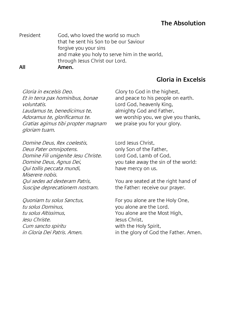## **The Absolution**

President God, who loved the world so much that he sent his Son to be our Saviour forgive you your sins and make you holy to serve him in the world, through Jesus Christ our Lord. **All Amen.**

## **Gloria in Excelsis**

Gloria in excelsis Deo. Et in terra pax hominibus, bonae voluntatis. Laudamus te, benedicimus te, Adoramus te, glorificamus te. Gratias agimus tibi propter magnam gloriam tuam.

Glory to God in the highest, and peace to his people on earth. Lord God, heavenly King, almighty God and Father, we worship you, we give you thanks, we praise you for your glory.

Domine Deus, Rex coelestis, Deus Pater omnipotens. Domine Fili unigenite Jesu Christe. Domine Deus, Agnus Dei, Qui tollis peccata mundi, Miserere nobis. Qui sedes ad dexteram Patris, Suscipe deprecationem nostram.

Quoniam tu solus Sanctus, tu solus Dominus, tu solus Altissimus, Jesu Christe. Cum sancto spiritu in Gloria Dei Patris. Amen.

Lord Jesus Christ, only Son of the Father, Lord God, Lamb of God, you take away the sin of the world: have mercy on us.

You are seated at the right hand of the Father: receive our prayer.

For you alone are the Holy One, you alone are the Lord. You alone are the Most High, Jesus Christ, with the Holy Spirit, in the glory of God the Father. Amen.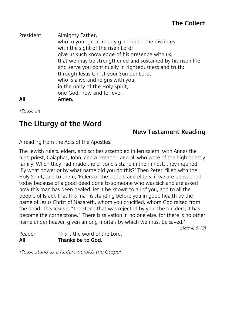President Almighty Father, who in your great mercy gladdened the disciples with the sight of the risen Lord: give us such knowledge of his presence with us, that we may be strengthened and sustained by his risen life and serve you continually in righteousness and truth; through Jesus Christ your Son our Lord, who is alive and reigns with you, in the unity of the Holy Spirit, one God, now and for ever. **All Amen.**

Please sit.

## **The Liturgy of the Word**

## **New Testament Reading**

A reading from the Acts of the Apostles.

The Jewish rulers, elders, and scribes assembled in Jerusalem, with Annas the high priest, Caiaphas, John, and Alexander, and all who were of the high-priestly family. When they had made the prisoners stand in their midst, they inquired, 'By what power or by what name did you do this?' Then Peter, filled with the Holy Spirit, said to them, 'Rulers of the people and elders, if we are questioned today because of a good deed done to someone who was sick and are asked how this man has been healed, let it be known to all of you, and to all the people of Israel, that this man is standing before you in good health by the name of Jesus Christ of Nazareth, whom you crucified, whom God raised from the dead. This Jesus is "the stone that was rejected by you, the builders; it has become the cornerstone." There is salvation in no one else, for there is no other name under heaven given among mortals by which we must be saved.'

(Acts 4, 5-12)

Reader This is the word of the Lord. **All Thanks be to God.**

Please stand as a fanfare heralds the Gospel.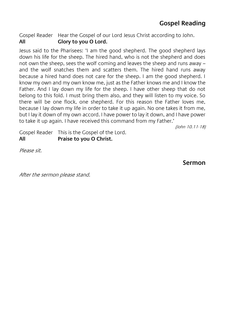Gospel Reader Hear the Gospel of our Lord Jesus Christ according to John.<br>All **Glory to you O Lord All Glory to you O Lord.**

Jesus said to the Pharisees: 'I am the good shepherd. The good shepherd lays down his life for the sheep. The hired hand, who is not the shepherd and does not own the sheep, sees the wolf coming and leaves the sheep and runs away – and the wolf snatches them and scatters them. The hired hand runs away because a hired hand does not care for the sheep. I am the good shepherd. I know my own and my own know me, just as the Father knows me and I know the Father. And I lay down my life for the sheep. I have other sheep that do not belong to this fold. I must bring them also, and they will listen to my voice. So there will be one flock, one shepherd. For this reason the Father loves me, because I lay down my life in order to take it up again. No one takes it from me, but I lay it down of my own accord. I have power to lay it down, and I have power to take it up again. I have received this command from my Father.'

(John 10.11-18)

Gospel Reader This is the Gospel of the Lord. **All Praise to you O Christ.**

Please sit.

**Sermon**

After the sermon please stand.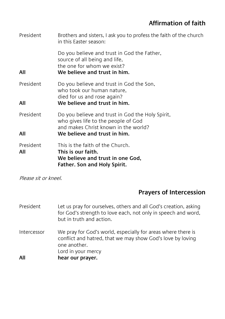## **Affirmation of faith**

| President        | Brothers and sisters, I ask you to profess the faith of the church<br>in this Easter season:                                                                    |  |
|------------------|-----------------------------------------------------------------------------------------------------------------------------------------------------------------|--|
| All              | Do you believe and trust in God the Father,<br>source of all being and life,<br>the one for whom we exist?<br>We believe and trust in him.                      |  |
| President<br>All | Do you believe and trust in God the Son,<br>who took our human nature.<br>died for us and rose again?<br>We believe and trust in him.                           |  |
| President<br>All | Do you believe and trust in God the Holy Spirit,<br>who gives life to the people of God<br>and makes Christ known in the world?<br>We believe and trust in him. |  |
| President<br>All | This is the faith of the Church.<br>This is our faith.<br>We believe and trust in one God,<br>Father. Son and Holy Spirit.                                      |  |

Please sit or kneel.

## **Prayers of Intercession**

| President   | Let us pray for ourselves, others and all God's creation, asking<br>for God's strength to love each, not only in speech and word,<br>but in truth and action.    |
|-------------|------------------------------------------------------------------------------------------------------------------------------------------------------------------|
| Intercessor | We pray for God's world, especially for areas where there is<br>conflict and hatred, that we may show God's love by loving<br>one another.<br>Lord in your mercy |
| All         | hear our prayer.                                                                                                                                                 |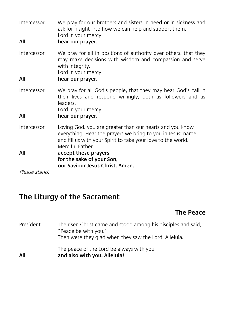| Intercessor<br>All | We pray for our brothers and sisters in need or in sickness and<br>ask for insight into how we can help and support them.<br>Lord in your mercy<br>hear our prayer.                                                                 |  |  |
|--------------------|-------------------------------------------------------------------------------------------------------------------------------------------------------------------------------------------------------------------------------------|--|--|
| Intercessor<br>All | We pray for all in positions of authority over others, that they<br>may make decisions with wisdom and compassion and serve<br>with integrity.<br>Lord in your mercy<br>hear our prayer.                                            |  |  |
| Intercessor<br>All | We pray for all God's people, that they may hear God's call in<br>their lives and respond willingly, both as followers and as<br>leaders.<br>Lord in your mercy<br>hear our prayer.                                                 |  |  |
| Intercessor<br>All | Loving God, you are greater than our hearts and you know<br>everything. Hear the prayers we bring to you in Jesus' name,<br>and fill us with your Spirit to take your love to the world.<br>Merciful Father<br>accept these prayers |  |  |
|                    | for the sake of your Son,<br>our Saviour Jesus Christ. Amen.                                                                                                                                                                        |  |  |
| Please stand.      |                                                                                                                                                                                                                                     |  |  |

## **The Liturgy of the Sacrament**

## **The Peace**

| President | The risen Christ came and stood among his disciples and said,<br>"Peace be with you."<br>Then were they glad when they saw the Lord. Alleluia. |
|-----------|------------------------------------------------------------------------------------------------------------------------------------------------|
| All       | The peace of the Lord be always with you<br>and also with you. Alleluia!                                                                       |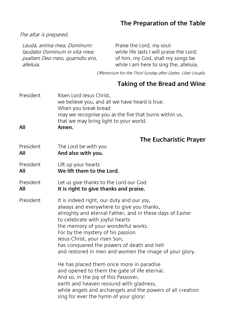## **The Preparation of the Table**

The altar is prepared.

Lauda, anima mea, Dominum: laudabo Dominum in vita mea: psallam Deo meo, quamdiu ero, alleluia. Praise the Lord, my soul: while life lasts I will praise the Lord; of him, my God, shall my songs be while I am here to sing the, alleluia.

Offertorium for the Third Sunday after Easter. Liber Usualis.

## **Taking of the Bread and Wine**

| President<br>All | Risen Lord Jesus Christ,<br>we believe you, and all we have heard is true.<br>When you break bread<br>may we recognise you as the fire that burns within us,<br>that we may bring light to your world.<br>Amen.                                                                                                                                                                                                                                                                                        |  |  |
|------------------|--------------------------------------------------------------------------------------------------------------------------------------------------------------------------------------------------------------------------------------------------------------------------------------------------------------------------------------------------------------------------------------------------------------------------------------------------------------------------------------------------------|--|--|
|                  | <b>The Eucharistic Prayer</b>                                                                                                                                                                                                                                                                                                                                                                                                                                                                          |  |  |
| President<br>All | The Lord be with you<br>And also with you.                                                                                                                                                                                                                                                                                                                                                                                                                                                             |  |  |
| President<br>All | Lift up your hearts<br>We lift them to the Lord.                                                                                                                                                                                                                                                                                                                                                                                                                                                       |  |  |
| President<br>All | Let us give thanks to the Lord our God<br>It is right to give thanks and praise.                                                                                                                                                                                                                                                                                                                                                                                                                       |  |  |
| President        | It is indeed right, our duty and our joy,<br>always and everywhere to give you thanks,<br>almighty and eternal Father, and in these days of Easter<br>to celebrate with joyful hearts<br>the memory of your wonderful works.<br>For by the mystery of his passion<br>Jesus Christ, your risen Son,<br>has conquered the powers of death and hell<br>and restored in men and women the image of your glory.<br>He has placed them once more in paradise<br>and opened to them the gate of life eternal. |  |  |
|                  | And so, in the joy of this Passover,<br>earth and heaven resound with gladness,<br>while angels and archangels and the powers of all creation<br>sing for ever the hymn of your glory:                                                                                                                                                                                                                                                                                                                 |  |  |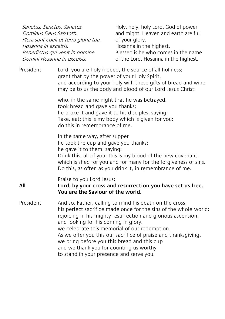| Sanctus, Sanctus, Sanctus,<br>Dominus Deus Sabaoth.<br>Pleni sunt coeli et terra gloria tua.<br>Hosanna in excelsis.<br>Benedictus qui venit in nomine<br>Domini Hosanna in excelsis.                                                                                                                                                                                                                                                                                                        | Holy, holy, holy Lord, God of power<br>and might. Heaven and earth are full<br>of your glory.<br>Hosanna in the highest.<br>Blessed is he who comes in the name<br>of the Lord. Hosanna in the highest. |  |  |
|----------------------------------------------------------------------------------------------------------------------------------------------------------------------------------------------------------------------------------------------------------------------------------------------------------------------------------------------------------------------------------------------------------------------------------------------------------------------------------------------|---------------------------------------------------------------------------------------------------------------------------------------------------------------------------------------------------------|--|--|
| Lord, you are holy indeed, the source of all holiness;<br>grant that by the power of your Holy Spirit,<br>and according to your holy will, these gifts of bread and wine<br>may be to us the body and blood of our Lord Jesus Christ;                                                                                                                                                                                                                                                        |                                                                                                                                                                                                         |  |  |
| who, in the same night that he was betrayed,<br>took bread and gave you thanks;<br>he broke it and gave it to his disciples, saying:<br>Take, eat; this is my body which is given for you;<br>do this in remembrance of me.                                                                                                                                                                                                                                                                  |                                                                                                                                                                                                         |  |  |
| In the same way, after supper<br>he took the cup and gave you thanks;<br>he gave it to them, saying:<br>Drink this, all of you; this is my blood of the new covenant,<br>which is shed for you and for many for the forgiveness of sins.<br>Do this, as often as you drink it, in remembrance of me.                                                                                                                                                                                         |                                                                                                                                                                                                         |  |  |
| Praise to you Lord Jesus:<br>Lord, by your cross and resurrection you have set us free.<br>You are the Saviour of the world.                                                                                                                                                                                                                                                                                                                                                                 |                                                                                                                                                                                                         |  |  |
| And so, Father, calling to mind his death on the cross,<br>his perfect sacrifice made once for the sins of the whole world;<br>rejoicing in his mighty resurrection and glorious ascension,<br>and looking for his coming in glory,<br>we celebrate this memorial of our redemption.<br>As we offer you this our sacrifice of praise and thanksgiving,<br>we bring before you this bread and this cup<br>and we thank you for counting us worthy<br>to stand in your presence and serve you. |                                                                                                                                                                                                         |  |  |
|                                                                                                                                                                                                                                                                                                                                                                                                                                                                                              |                                                                                                                                                                                                         |  |  |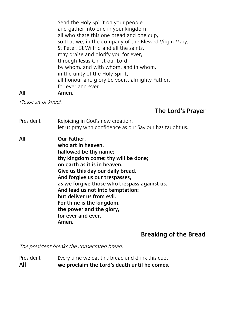Send the Holy Spirit on your people and gather into one in your kingdom all who share this one bread and one cup, so that we, in the company of the Blessed Virgin Mary, St Peter, St Wilfrid and all the saints, may praise and glorify you for ever, through Jesus Christ our Lord; by whom, and with whom, and in whom, in the unity of the Holy Spirit, all honour and glory be yours, almighty Father, for ever and ever. **All Amen.**

Please sit or kneel.

## **The Lord's Prayer**

- President Rejoicing in God's new creation, let us pray with confidence as our Saviour has taught us.
- **All Our Father, who art in heaven, hallowed be thy name; thy kingdom come; thy will be done; on earth as it is in heaven. Give us this day our daily bread. And forgive us our trespasses, as we forgive those who trespass against us. And lead us not into temptation; but deliver us from evil. For thine is the kingdom, the power and the glory, for ever and ever. Amen.**

## **Breaking of the Bread**

The president breaks the consecrated bread.

President Every time we eat this bread and drink this cup, **All we proclaim the Lord's death until he comes.**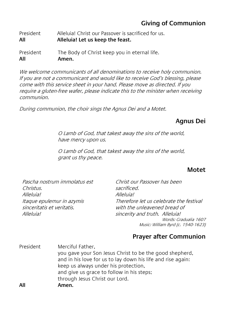## **Giving of Communion**

President Alleluia! Christ our Passover is sacrificed for us. **All Alleluia! Let us keep the feast.**

President The Body of Christ keep you in eternal life.<br>All **All Amen.**

We welcome communicants of all denominations to receive holy communion. If you are not a communicant and would like to receive God's blessing, please come with this service sheet in your hand. Please move as directed. If you require a gluten-free wafer, please indicate this to the minister when receiving communion.

During communion, the choir sings the Agnus Dei and a Motet.

## **Agnus Dei**

O Lamb of God, that takest away the sins of the world, have mercy upon us.

O Lamb of God, that takest away the sins of the world, grant us thy peace.

#### **Motet**

Pascha nostrum immolatus est Christus. Alleluial Itaque epulemur in azymis sinceritatis et veritatis. Alleluial

Christ our Passover has been sacrificed. Alleluial Therefore let us celebrate the festival with the unleavened bread of sincerity and truth. Alleluia! Words: Gradualia 1607 Music: William Byrd (c. 1540-1623)

#### **Prayer after Communion**

President Merciful Father, you gave your Son Jesus Christ to be the good shepherd, and in his love for us to lay down his life and rise again: keep us always under his protection, and give us grace to follow in his steps; through Jesus Christ our Lord. **All Amen.**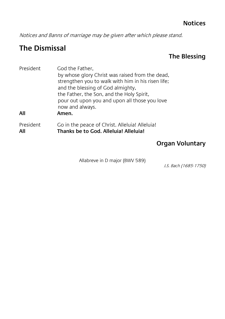Notices and Banns of marriage may be given after which please stand.

## **The Dismissal**

## **The Blessing**

| President | God the Father,                                    |
|-----------|----------------------------------------------------|
|           | by whose glory Christ was raised from the dead,    |
|           | strengthen you to walk with him in his risen life; |
|           | and the blessing of God almighty,                  |
|           | the Father, the Son, and the Holy Spirit,          |
|           | pour out upon you and upon all those you love      |
|           | now and always.                                    |
| All       | Amen.                                              |
| President | Go in the peace of Christ. Alleluia! Alleluia!     |
| All       | Thanks be to God. Alleluia! Alleluia!              |

## **Organ Voluntary**

Allabreve in D major (BWV 589)

J.S. Bach (1685-1750)